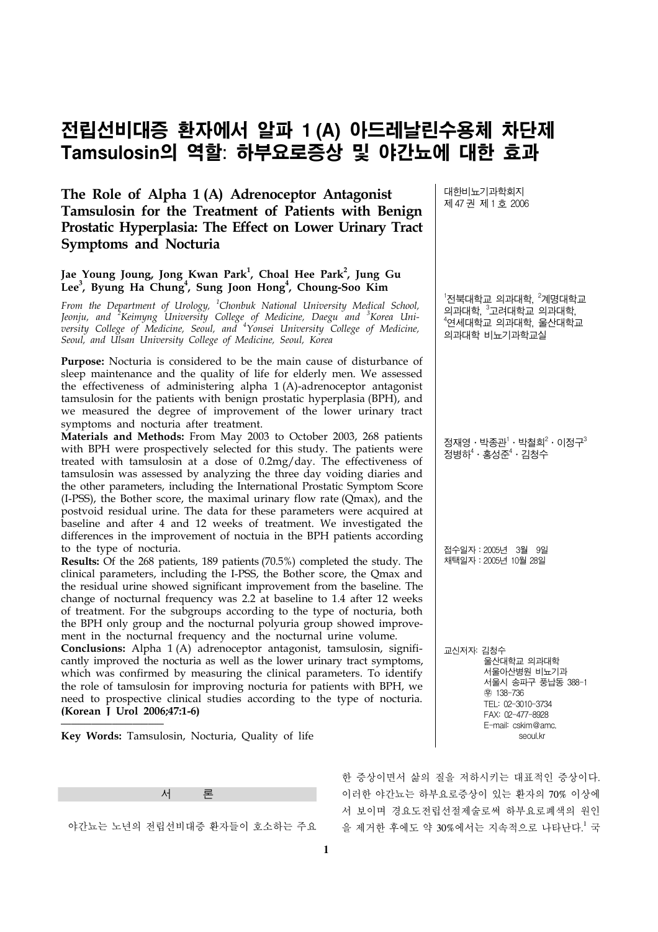# 전립선비대증 환자에서 알파 **1 (A)** 아드레날린수용체 차단제 **Tamsulosin**의 역할: 하부요로증상 및 야간뇨에 대한 효과

**The Role of Alpha 1 (A) Adrenoceptor Antagonist Tamsulosin for the Treatment of Patients with Benign Prostatic Hyperplasia: The Effect on Lower Urinary Tract Symptoms and Nocturia**

# Jae Young Joung, Jong Kwan Park<sup>1</sup>, Choal Hee Park<sup>2</sup>, Jung Gu Lee<sup>3</sup>, Byung Ha Chung<sup>4</sup>, Sung Joon Hong<sup>4</sup>, Choung-Soo Kim

*From the Department of Urology, <sup>1</sup> Chonbuk National University Medical School, Jeonju, and <sup>2</sup> Keimyng University College of Medicine, Daegu and <sup>3</sup> Korea University College of Medicine, Seoul, and <sup>4</sup> Yonsei University College of Medicine, Seoul, and Ulsan University College of Medicine, Seoul, Korea*

**Purpose:** Nocturia is considered to be the main cause of disturbance of sleep maintenance and the quality of life for elderly men. We assessed the effectiveness of administering alpha 1 (A)-adrenoceptor antagonist tamsulosin for the patients with benign prostatic hyperplasia (BPH), and we measured the degree of improvement of the lower urinary tract symptoms and nocturia after treatment.

**Materials and Methods:** From May 2003 to October 2003, 268 patients with BPH were prospectively selected for this study. The patients were treated with tamsulosin at a dose of 0.2mg/day. The effectiveness of tamsulosin was assessed by analyzing the three day voiding diaries and the other parameters, including the International Prostatic Symptom Score (I-PSS), the Bother score, the maximal urinary flow rate (Qmax), and the postvoid residual urine. The data for these parameters were acquired at baseline and after 4 and 12 weeks of treatment. We investigated the differences in the improvement of noctuia in the BPH patients according to the type of nocturia.

**Results:** Of the 268 patients, 189 patients (70.5%) completed the study. The clinical parameters, including the I-PSS, the Bother score, the Qmax and the residual urine showed significant improvement from the baseline. The change of nocturnal frequency was 2.2 at baseline to 1.4 after 12 weeks of treatment. For the subgroups according to the type of nocturia, both the BPH only group and the nocturnal polyuria group showed improvement in the nocturnal frequency and the nocturnal urine volume.

**Conclusions:** Alpha 1 (A) adrenoceptor antagonist, tamsulosin, significantly improved the nocturia as well as the lower urinary tract symptoms, which was confirmed by measuring the clinical parameters. To identify the role of tamsulosin for improving nocturia for patients with BPH, we need to prospective clinical studies according to the type of nocturia. **(Korean J Urol 2006;47:1-6)**

**Key Words:** Tamsulosin, Nocturia, Quality of life



야간뇨는 노년의 전립선비대증 환자들이 호소하는 주요

대한비뇨기과학회지 제 47 권 제 1 호 2006

 $^{\rm !}$ 전북대학교 의과대학,  $^{\rm 2}$ 계명대학교 의과대학,  $^3$ 고려대학교 의과대학, 4 연세대학교 의과대학, 울산대학교 의과대학 비뇨기과학교실

정재영ㆍ박종관 $^{\textrm{!`}}\cdot$  박철희 $^{\textrm{!`}}\cdot$  이정구 $^{\textrm{!`}}$ 정병하 ${}^4\cdot$ 홍성준 ${}^4\cdot$ 김청수

접수일자:2005년 3월 9일 채택일자:2005년 10월 28일

교신저자: 김청수 울산대학교 의과대학 서울아산병원 비뇨기과 서울시 송파구 풍납동 388-1 ꂕ 138-736 TEL: 02-3010-3734 FAX: 02-477-8928 E-mail: cskim@amc. seoul kr

한 증상이면서 삶의 질을 저하시키는 대표적인 증상이다. 이러한 야간뇨는 하부요로증상이 있는 환자의 70% 이상에 서 보이며 경요도전립선절제술로써 하부요로폐색의 원인 을 제거한 후에도 약 30%에서는 지속적으로 나타난다.<sup>!</sup> 국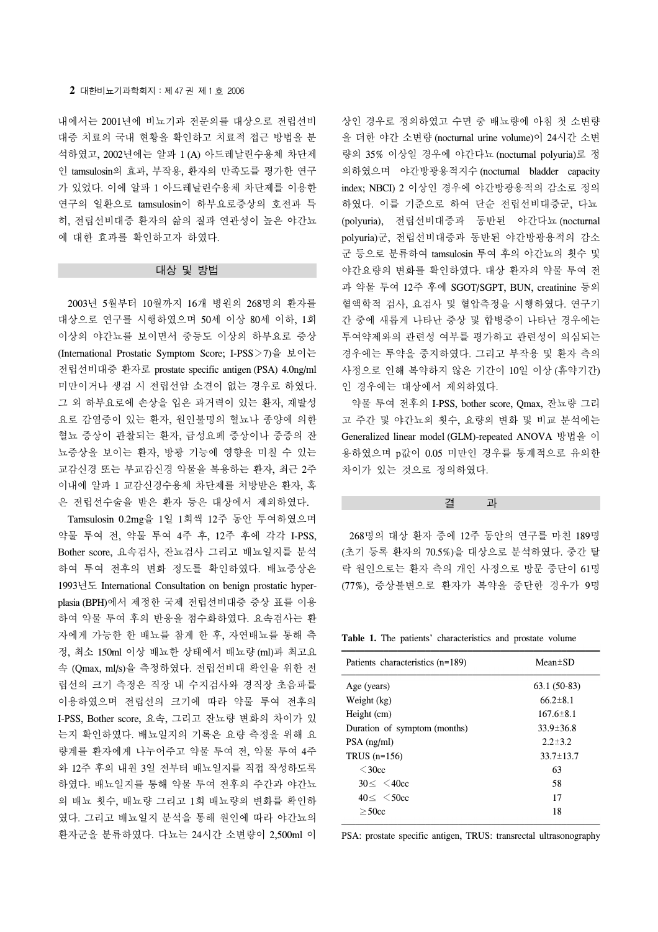내에서는 2001년에 비뇨기과 전문의를 대상으로 전립선비 대증 치료의 국내 현황을 확인하고 치료적 접근 방법을 분 석하였고, 2002년에는 알파 1 (A) 아드레날린수용체 차단제 인 tamsulosin의 효과, 부작용, 환자의 만족도를 평가한 연구 가 있었다. 이에 알파 1 아드레날린수용체 차단제를 이용한 연구의 일환으로 tamsulosin이 하부요로증상의 호전과 특 히, 전립선비대증 환자의 삶의 질과 연관성이 높은 야간뇨 에 대한 효과를 확인하고자 하였다.

#### 대상 및 방법

 2003년 5월부터 10월까지 16개 병원의 268명의 환자를 대상으로 연구를 시행하였으며 50세 이상 80세 이하, 1회 이상의 야간뇨를 보이면서 중등도 이상의 하부요로 증상 (International Prostatic Symptom Score; I-PSS>7)을 보이는 전립선비대증 환자로 prostate specific antigen (PSA) 4.0ng/ml 미만이거나 생검 시 전립선암 소견이 없는 경우로 하였다. 그 외 하부요로에 손상을 입은 과거력이 있는 환자, 재발성 요로 감염증이 있는 환자, 원인불명의 혈뇨나 종양에 의한 혈뇨 증상이 관찰되는 환자, 급성요폐 증상이나 중증의 잔 뇨증상을 보이는 환자, 방광 기능에 영향을 미칠 수 있는 교감신경 또는 부교감신경 약물을 복용하는 환자, 최근 2주 이내에 알파 1 교감신경수용체 차단제를 처방받은 환자, 혹 은 전립선수술을 받은 환자 등은 대상에서 제외하였다.

 Tamsulosin 0.2mg을 1일 1회씩 12주 동안 투여하였으며 약물 투여 전, 약물 투여 4주 후, 12주 후에 각각 I-PSS, Bother score, 요속검사, 잔뇨검사 그리고 배뇨일지를 분석 하여 투여 전후의 변화 정도를 확인하였다. 배뇨증상은 1993년도 International Consultation on benign prostatic hyperplasia (BPH)에서 제정한 국제 전립선비대증 증상 표를 이용 하여 약물 투여 후의 반응을 점수화하였다. 요속검사는 환 자에게 가능한 한 배뇨를 참게 한 후, 자연배뇨를 통해 측 정, 최소 150ml 이상 배뇨한 상태에서 배뇨량 (ml)과 최고요 속 (Qmax, ml/s)을 측정하였다. 전립선비대 확인을 위한 전 립선의 크기 측정은 직장 내 수지검사와 경직장 초음파를 이용하였으며 전립선의 크기에 따라 약물 투여 전후의 I-PSS, Bother score, 요속, 그리고 잔뇨량 변화의 차이가 있 는지 확인하였다. 배뇨일지의 기록은 요량 측정을 위해 요 량계를 환자에게 나누어주고 약물 투여 전, 약물 투여 4주 와 12주 후의 내원 3일 전부터 배뇨일지를 직접 작성하도록 하였다. 배뇨일지를 통해 약물 투여 전후의 주간과 야간뇨 의 배뇨 횟수, 배뇨량 그리고 1회 배뇨량의 변화를 확인하 였다. 그리고 배뇨일지 분석을 통해 원인에 따라 야간뇨의 환자군을 분류하였다. 다뇨는 24시간 소변량이 2,500ml 이

```
상인 경우로 정의하였고 수면 중 배뇨량에 아침 첫 소변량
을 더한 야간 소변량 (nocturnal urine volume)이 24시간 소변
량의 35% 이상일 경우에 야간다뇨 (nocturnal polyuria)로 정
의하였으며 야간방광용적지수 (nocturnal bladder capacity 
index; NBCI) 2 이상인 경우에 야간방광용적의 감소로 정의
하였다. 이를 기준으로 하여 단순 전립선비대증군, 다뇨
(polyuria), 전립선비대증과 동반된 야간다뇨 (nocturnal 
polyuria)군, 전립선비대증과 동반된 야간방광용적의 감소
군 등으로 분류하여 tamsulosin 투여 후의 야간뇨의 횟수 및 
야간요량의 변화를 확인하였다. 대상 환자의 약물 투여 전
과 약물 투여 12주 후에 SGOT/SGPT, BUN, creatinine 등의 
혈액학적 검사, 요검사 및 혈압측정을 시행하였다. 연구기
간 중에 새롭게 나타난 증상 및 합병증이 나타난 경우에는 
투여약제와의 관련성 여부를 평가하고 관련성이 의심되는 
경우에는 투약을 중지하였다. 그리고 부작용 및 환자 측의 
사정으로 인해 복약하지 않은 기간이 10일 이상 (휴약기간)
인 경우에는 대상에서 제외하였다.
```
 약물 투여 전후의 I-PSS, bother score, Qmax, 잔뇨량 그리 고 주간 및 야간뇨의 횟수, 요량의 변화 및 비교 분석에는 Generalized linear model (GLM)-repeated ANOVA 방법을 이 용하였으며 p값이 0.05 미만인 경우를 통계적으로 유의한 차이가 있는 것으로 정의하였다.

### 결 과

 268명의 대상 환자 중에 12주 동안의 연구를 마친 189명 (초기 등록 환자의 70.5%)을 대상으로 분석하였다. 중간 탈 락 원인으로는 환자 측의 개인 사정으로 방문 중단이 61명 (77%), 증상불변으로 환자가 복약을 중단한 경우가 9명

**Table 1.** The patients' characteristics and prostate volume

| Patients characteristics (n=189) | $Mean \pm SD$   |
|----------------------------------|-----------------|
| Age (years)                      | $63.1(50-83)$   |
| Weight (kg)                      | $66.2 \pm 8.1$  |
| Height (cm)                      | $167.6 \pm 8.1$ |
| Duration of symptom (months)     | $33.9 \pm 36.8$ |
| $PSA$ (ng/ml)                    | $2.2 \pm 3.2$   |
| TRUS $(n=156)$                   | $33.7 \pm 13.7$ |
| $\leq$ 30cc                      | 63              |
| $30 < 40$ cc                     | 58              |
| $40 < 50$ cc                     | 17              |
| $>$ 50 $\rm{cc}$                 | 18              |

PSA: prostate specific antigen, TRUS: transrectal ultrasonography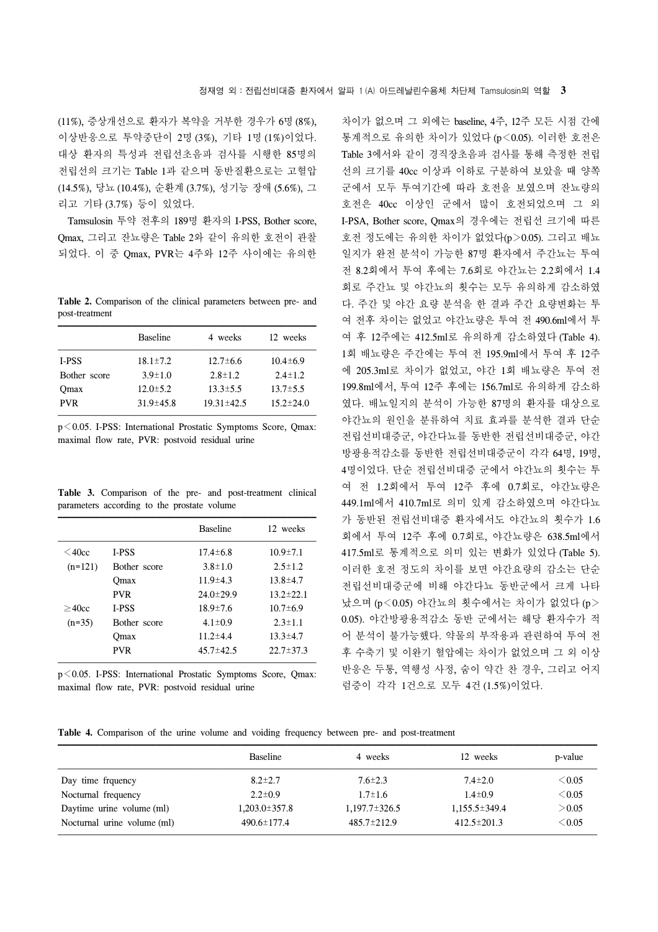(11%), 증상개선으로 환자가 복약을 거부한 경우가 6명 (8%), 이상반응으로 투약중단이 2명 (3%), 기타 1명 (1%)이었다. 대상 환자의 특성과 전립선초음파 검사를 시행한 85명의 전립선의 크기는 Table 1과 같으며 동반질환으로는 고혈압 (14.5%), 당뇨 (10.4%), 순환계 (3.7%), 성기능 장애 (5.6%), 그 리고 기타 (3.7%) 등이 있었다.

Tamsulosin 투약 전후의 189명 환자의 I-PSS, Bother score, Qmax, 그리고 잔뇨량은 Table 2와 같이 유의한 호전이 관찰 되었다. 이 중 Qmax, PVR는 4주와 12주 사이에는 유의한

**Table 2.** Comparison of the clinical parameters between pre- and post-treatment

|              | <b>Baseline</b> | 4 weeks          | 12 weeks        |
|--------------|-----------------|------------------|-----------------|
| I-PSS        | $18.1 \pm 7.2$  | $12.7\pm 6.6$    | $10.4 \pm 6.9$  |
| Bother score | $3.9 \pm 1.0$   | $2.8 \pm 1.2$    | $2.4 \pm 1.2$   |
| Omax         | $12.0 \pm 5.2$  | $13.3 \pm 5.5$   | $13.7 \pm 5.5$  |
| <b>PVR</b>   | $31.9 \pm 45.8$ | $19.31 \pm 42.5$ | $15.2 \pm 24.0$ |

p<0.05. I-PSS: International Prostatic Symptoms Score, Qmax: maximal flow rate, PVR: postvoid residual urine

**Table 3.** Comparison of the pre- and post-treatment clinical parameters according to the prostate volume

|             |              | <b>Baseline</b> | 12 weeks        |
|-------------|--------------|-----------------|-----------------|
| $\leq$ 40cc | <b>I-PSS</b> | $17.4 \pm 6.8$  | $10.9 \pm 7.1$  |
| $(n=121)$   | Bother score | $3.8 \pm 1.0$   | $2.5 \pm 1.2$   |
|             | Omax         | $11.9 \pm 4.3$  | $13.8 \pm 4.7$  |
|             | <b>PVR</b>   | $24.0 \pm 29.9$ | $13.2 \pm 22.1$ |
| >40cc       | <b>I-PSS</b> | $18.9 \pm 7.6$  | $10.7 \pm 6.9$  |
| $(n=35)$    | Bother score | $4.1 \pm 0.9$   | $2.3 \pm 1.1$   |
|             | Omax         | $11.2 \pm 4.4$  | $13.3 \pm 4.7$  |
|             | <b>PVR</b>   | $45.7 \pm 42.5$ | $22.7 \pm 37.3$ |

p<0.05. I-PSS: International Prostatic Symptoms Score, Qmax: maximal flow rate, PVR: postvoid residual urine

차이가 없으며 그 외에는 baseline, 4주, 12주 모든 시점 간에 통계적으로 유의한 차이가 있었다 (p<0.05). 이러한 호전은 Table 3에서와 같이 경직장초음파 검사를 통해 측정한 전립 선의 크기를 40cc 이상과 이하로 구분하여 보았을 때 양쪽 군에서 모두 투여기간에 따라 호전을 보였으며 잔뇨량의 호전은 40cc 이상인 군에서 많이 호전되었으며 그 외 I-PSA, Bother score, Qmax의 경우에는 전립선 크기에 따른 호전 정도에는 유의한 차이가 없었다(p>0.05). 그리고 배뇨 일지가 완전 분석이 가능한 87명 환자에서 주간뇨는 투여 전 8.2회에서 투여 후에는 7.6회로 야간뇨는 2.2회에서 1.4 회로 주간뇨 및 야간뇨의 횟수는 모두 유의하게 감소하였 다. 주간 및 야간 요량 분석을 한 결과 주간 요량변화는 투 여 전후 차이는 없었고 야간뇨량은 투여 전 490.6ml에서 투 여 후 12주에는 412.5ml로 유의하게 감소하였다 (Table 4). 1회 배뇨량은 주간에는 투여 전 195.9ml에서 투여 후 12주 에 205.3ml로 차이가 없었고, 야간 1회 배뇨량은 투여 전 199.8ml에서, 투여 12주 후에는 156.7ml로 유의하게 감소하 였다. 배뇨일지의 분석이 가능한 87명의 환자를 대상으로 야간뇨의 원인을 분류하여 치료 효과를 분석한 결과 단순 전립선비대증군, 야간다뇨를 동반한 전립선비대증군, 야간 방광용적감소를 동반한 전립선비대증군이 각각 64명, 19명, 4명이었다. 단순 전립선비대증 군에서 야간뇨의 횟수는 투 여 전 1.2회에서 투여 12주 후에 0.7회로, 야간뇨량은 449.1ml에서 410.7ml로 의미 있게 감소하였으며 야간다뇨 가 동반된 전립선비대증 환자에서도 야간뇨의 횟수가 1.6 회에서 투여 12주 후에 0.7회로, 야간뇨량은 638.5ml에서 417.5ml로 통계적으로 의미 있는 변화가 있었다 (Table 5). 이러한 호전 정도의 차이를 보면 야간요량의 감소는 단순 전립선비대증군에 비해 야간다뇨 동반군에서 크게 나타 났으며 (p<0.05) 야간뇨의 횟수에서는 차이가 없었다 (p> 0.05). 야간방광용적감소 동반 군에서는 해당 환자수가 적 어 분석이 불가능했다. 약물의 부작용과 관련하여 투여 전 후 수축기 및 이완기 혈압에는 차이가 없었으며 그 외 이상 반응은 두통, 역행성 사정, 숨이 약간 찬 경우, 그리고 어지 럼증이 각각 1건으로 모두 4건 (1.5%)이었다.

**Table 4.** Comparison of the urine volume and voiding frequency between pre- and post-treatment

| 12 weeks            | p-value     |
|---------------------|-------------|
|                     |             |
| $7.4 \pm 2.0$       | $\leq 0.05$ |
| $1.4 \pm 0.9$       | $<$ 0.05    |
| $1,155.5 \pm 349.4$ | > 0.05      |
| $412.5 \pm 201.3$   | $<$ 0.05    |
|                     |             |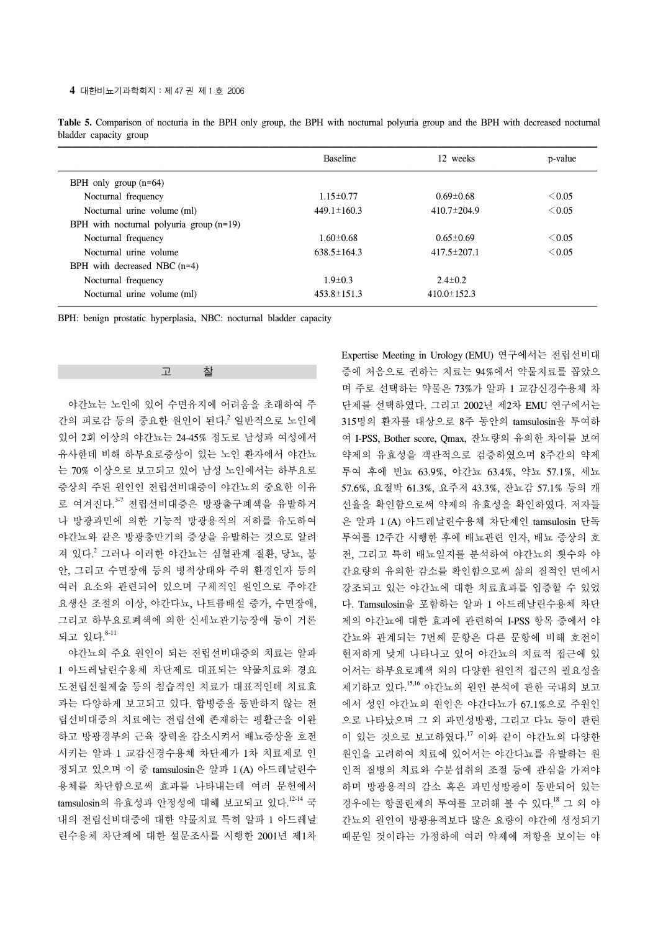|                                            | <b>Baseline</b>   | 12 weeks          | p-value     |
|--------------------------------------------|-------------------|-------------------|-------------|
| BPH only group $(n=64)$                    |                   |                   |             |
| Nocturnal frequency                        | $1.15 \pm 0.77$   | $0.69 \pm 0.68$   | $\leq 0.05$ |
| Nocturnal urine volume (ml)                | $449.1 \pm 160.3$ | $410.7 \pm 204.9$ | $\leq 0.05$ |
| BPH with nocturnal polyuria group $(n=19)$ |                   |                   |             |
| Nocturnal frequency                        | $1.60 \pm 0.68$   | $0.65 \pm 0.69$   | $\leq 0.05$ |
| Nocturnal urine volume                     | $638.5 \pm 164.3$ | $417.5 \pm 207.1$ | $\leq 0.05$ |
| BPH with decreased NBC $(n=4)$             |                   |                   |             |
| Nocturnal frequency                        | $1.9 \pm 0.3$     | $2.4 \pm 0.2$     |             |
| Nocturnal urine volume (ml)                | $453.8 \pm 151.3$ | $410.0 \pm 152.3$ |             |

**Table 5.** Comparison of nocturia in the BPH only group, the BPH with nocturnal polyuria group and the BPH with decreased nocturnal bladder capacity group

BPH: benign prostatic hyperplasia, NBC: nocturnal bladder capacity

고 찰

 야간뇨는 노인에 있어 수면유지에 어려움을 초래하여 주 간의 피로감 등의 중요한 원인이 된다. <sup>2</sup> 일반적으로 노인에 있어 2회 이상의 야간뇨는 24-45% 정도로 남성과 여성에서 유사한데 비해 하부요로증상이 있는 노인 환자에서 야간뇨 는 70% 이상으로 보고되고 있어 남성 노인에서는 하부요로 증상의 주된 원인인 전립선비대증이 야간뇨의 중요한 이유 로 여겨진다.<sup>3-7</sup> 전립선비대증은 방광출구폐색을 유발하거 나 방광과민에 의한 기능적 방광용적의 저하를 유도하여 야간뇨와 같은 방광충만기의 증상을 유발하는 것으로 알려 져 있다. <sup>2</sup> 그러나 이러한 야간뇨는 심혈관계 질환, 당뇨, 불 안, 그리고 수면장애 등의 병적상태와 주위 환경인자 등의 여러 요소와 관련되어 있으며 구체적인 원인으로 주야간 요생산 조절의 이상, 야간다뇨, 나트륨배설 증가, 수면장애, 그리고 하부요로폐색에 의한 신세뇨관기능장애 등이 거론 되고 있다. 8-11

 야간뇨의 주요 원인이 되는 전립선비대증의 치료는 알파 1 아드레날린수용체 차단제로 대표되는 약물치료와 경요 도전립선절제술 등의 침습적인 치료가 대표적인데 치료효 과는 다양하게 보고되고 있다. 합병증을 동반하지 않는 전 립선비대증의 치료에는 전립선에 존재하는 평활근을 이완 하고 방광경부의 근육 장력을 감소시켜서 배뇨증상을 호전 시키는 알파 1 교감신경수용체 차단제가 1차 치료제로 인 정되고 있으며 이 중 tamsulosin은 알파 1 (A) 아드레날린수 용체를 차단함으로써 효과를 나타내는데 여러 문헌에서 tamsulosin의 유효성과 안정성에 대해 보고되고 있다. 12-14 국 내의 전립선비대증에 대한 약물치료 특히 알파 1 아드레날 린수용체 차단제에 대한 설문조사를 시행한 2001년 제1차 Expertise Meeting in Urology (EMU) 연구에서는 전립선비대 증에 처음으로 권하는 치료는 94%에서 약물치료를 꼽았으 며 주로 선택하는 약물은 73%가 알파 1 교감신경수용체 차 단제를 선택하였다. 그리고 2002년 제2차 EMU 연구에서는 315명의 환자를 대상으로 8주 동안의 tamsulosin을 투여하 여 I-PSS, Bother score, Qmax, 잔뇨량의 유의한 차이를 보여 약제의 유효성을 객관적으로 검증하였으며 8주간의 약제 투여 후에 빈뇨 63.9%, 야간뇨 63.4%, 약뇨 57.1%, 세뇨 57.6%, 요절박 61.3%, 요주저 43.3%, 잔뇨감 57.1% 등의 개 선율을 확인함으로써 약제의 유효성을 확인하였다. 저자들 은 알파 1 (A) 아드레날린수용체 차단제인 tamsulosin 단독 투여를 12주간 시행한 후에 배뇨관련 인자, 배뇨 증상의 호 전, 그리고 특히 배뇨일지를 분석하여 야간뇨의 횟수와 야 간요량의 유의한 감소를 확인함으로써 삶의 질적인 면에서 강조되고 있는 야간뇨에 대한 치료효과를 입증할 수 있었 다. Tamsulosin을 포함하는 알파 1 아드레날린수용체 차단 제의 야간뇨에 대한 효과에 관련하여 I-PSS 항목 중에서 야 간뇨와 관계되는 7번째 문항은 다른 문항에 비해 호전이 현저하게 낮게 나타나고 있어 야간뇨의 치료적 접근에 있 어서는 하부요로폐색 외의 다양한 원인적 접근의 필요성을 제기하고 있다. 15,16 야간뇨의 원인 분석에 관한 국내의 보고 에서 성인 야간뇨의 원인은 야간다뇨가 67.1%으로 주원인 으로 나타났으며 그 외 과민성방광, 그리고 다뇨 등이 관련 이 있는 것으로 보고하였다. <sup>17</sup> 이와 같이 야간뇨의 다양한 원인을 고려하여 치료에 있어서는 야간다뇨를 유발하는 원 인적 질병의 치료와 수분섭취의 조절 등에 관심을 가져야 하며 방광용적의 감소 혹은 과민성방광이 동반되어 있는 경우에는 항콜린제의 투여를 고려해 볼 수 있다. <sup>18</sup> 그 외 야 간뇨의 원인이 방광용적보다 많은 요량이 야간에 생성되기 때문일 것이라는 가정하에 여러 약제에 저항을 보이는 야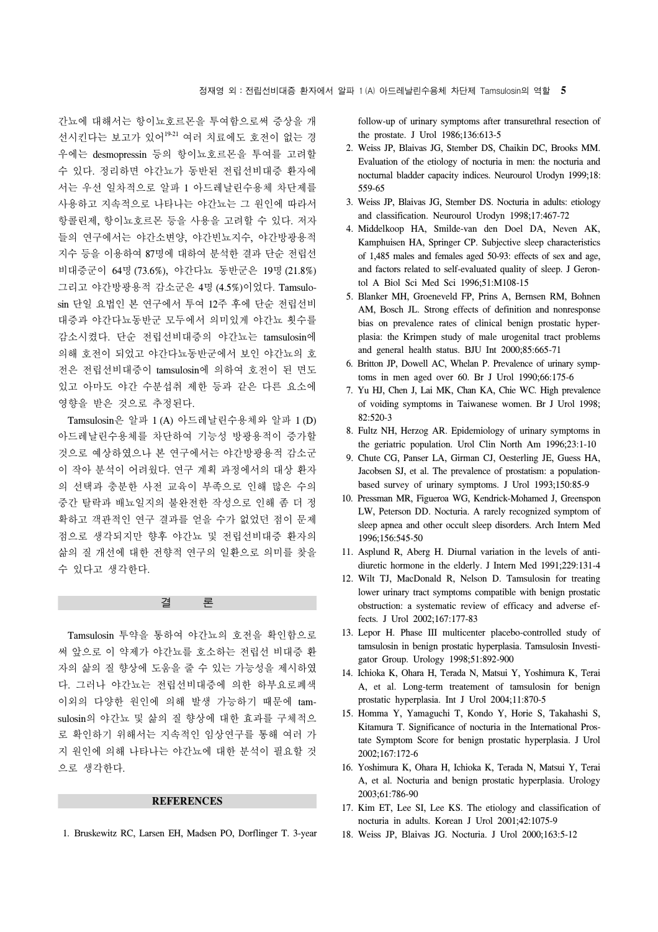간뇨에 대해서는 항이뇨호르몬을 투여함으로써 증상을 개 선시킨다는 보고가 있어19-21 여러 치료에도 호전이 없는 경 우에는 desmopressin 등의 항이뇨호르몬을 투여를 고려할 수 있다. 정리하면 야간뇨가 동반된 전립선비대증 환자에 서는 우선 일차적으로 알파 1 아드레날린수용체 차단제를 사용하고 지속적으로 나타나는 야간뇨는 그 원인에 따라서 항콜린제, 항이뇨호르몬 등을 사용을 고려할 수 있다. 저자 들의 연구에서는 야간소변양, 야간빈뇨지수, 야간방광용적 지수 등을 이용하여 87명에 대하여 분석한 결과 단순 전립선 비대증군이 64명 (73.6%), 야간다뇨 동반군은 19명 (21.8%) 그리고 야간방광용적 감소군은 4명 (4.5%)이었다. Tamsulosin 단일 요법인 본 연구에서 투여 12주 후에 단순 전립선비 대증과 야간다뇨동반군 모두에서 의미있게 야간뇨 횟수를 감소시켰다. 단순 전립선비대증의 야간뇨는 tamsulosin에 의해 호전이 되었고 야간다뇨동반군에서 보인 야간뇨의 호 전은 전립선비대증이 tamsulosin에 의하여 호전이 된 면도 있고 아마도 야간 수분섭취 제한 등과 같은 다른 요소에 영향을 받은 것으로 추정된다.

 Tamsulosin은 알파 1 (A) 아드레날린수용체와 알파 1 (D) 아드레날린수용체를 차단하여 기능성 방광용적이 증가할 것으로 예상하였으나 본 연구에서는 야간방광용적 감소군 이 작아 분석이 어려웠다. 연구 계획 과정에서의 대상 환자 의 선택과 충분한 사전 교육이 부족으로 인해 많은 수의 중간 탈락과 배뇨일지의 불완전한 작성으로 인해 좀 더 정 확하고 객관적인 연구 결과를 얻을 수가 없었던 점이 문제 점으로 생각되지만 향후 야간뇨 및 전립선비대증 환자의 삶의 질 개선에 대한 전향적 연구의 일환으로 의미를 찾을 수 있다고 생각한다.

결 론

 Tamsulosin 투약을 통하여 야간뇨의 호전을 확인함으로 써 앞으로 이 약제가 야간뇨를 호소하는 전립선 비대증 환 자의 삶의 질 향상에 도움을 줄 수 있는 가능성을 제시하였 다. 그러나 야간뇨는 전립선비대증에 의한 하부요로폐색 이외의 다양한 원인에 의해 발생 가능하기 때문에 tamsulosin의 야간뇨 및 삶의 질 향상에 대한 효과를 구체적으 로 확인하기 위해서는 지속적인 임상연구를 통해 여러 가 지 원인에 의해 나타나는 야간뇨에 대한 분석이 필요할 것 으로 생각한다.

## **REFERENCES**

1. Bruskewitz RC, Larsen EH, Madsen PO, Dorflinger T. 3-year

follow-up of urinary symptoms after transurethral resection of the prostate. J Urol 1986;136:613-5

- 2. Weiss JP, Blaivas JG, Stember DS, Chaikin DC, Brooks MM. Evaluation of the etiology of nocturia in men: the nocturia and nocturnal bladder capacity indices. Neurourol Urodyn 1999;18: 559-65
- 3. Weiss JP, Blaivas JG, Stember DS. Nocturia in adults: etiology and classification. Neurourol Urodyn 1998;17:467-72
- 4. Middelkoop HA, Smilde-van den Doel DA, Neven AK, Kamphuisen HA, Springer CP. Subjective sleep characteristics of 1,485 males and females aged 50-93: effects of sex and age, and factors related to self-evaluated quality of sleep. J Gerontol A Biol Sci Med Sci 1996;51:M108-15
- 5. Blanker MH, Groeneveld FP, Prins A, Bernsen RM, Bohnen AM, Bosch JL. Strong effects of definition and nonresponse bias on prevalence rates of clinical benign prostatic hyperplasia: the Krimpen study of male urogenital tract problems and general health status. BJU Int 2000;85:665-71
- 6. Britton JP, Dowell AC, Whelan P. Prevalence of urinary symptoms in men aged over 60. Br J Urol 1990;66:175-6
- 7. Yu HJ, Chen J, Lai MK, Chan KA, Chie WC. High prevalence of voiding symptoms in Taiwanese women. Br J Urol 1998; 82:520-3
- 8. Fultz NH, Herzog AR. Epidemiology of urinary symptoms in the geriatric population. Urol Clin North Am 1996;23:1-10
- 9. Chute CG, Panser LA, Girman CJ, Oesterling JE, Guess HA, Jacobsen SJ, et al. The prevalence of prostatism: a populationbased survey of urinary symptoms. J Urol 1993;150:85-9
- 10. Pressman MR, Figueroa WG, Kendrick-Mohamed J, Greenspon LW, Peterson DD. Nocturia. A rarely recognized symptom of sleep apnea and other occult sleep disorders. Arch Intern Med 1996;156:545-50
- 11. Asplund R, Aberg H. Diurnal variation in the levels of antidiuretic hormone in the elderly. J Intern Med 1991;229:131-4
- 12. Wilt TJ, MacDonald R, Nelson D. Tamsulosin for treating lower urinary tract symptoms compatible with benign prostatic obstruction: a systematic review of efficacy and adverse effects. J Urol 2002;167:177-83
- 13. Lepor H. Phase III multicenter placebo-controlled study of tamsulosin in benign prostatic hyperplasia. Tamsulosin Investigator Group. Urology 1998;51:892-900
- 14. Ichioka K, Ohara H, Terada N, Matsui Y, Yoshimura K, Terai A, et al. Long-term treatement of tamsulosin for benign prostatic hyperplasia. Int J Urol 2004;11:870-5
- 15. Homma Y, Yamaguchi T, Kondo Y, Horie S, Takahashi S, Kitamura T. Significance of nocturia in the International Prostate Symptom Score for benign prostatic hyperplasia. J Urol 2002;167:172-6
- 16. Yoshimura K, Ohara H, Ichioka K, Terada N, Matsui Y, Terai A, et al. Nocturia and benign prostatic hyperplasia. Urology 2003;61:786-90
- 17. Kim ET, Lee SI, Lee KS. The etiology and classification of nocturia in adults. Korean J Urol 2001;42:1075-9
- 18. Weiss JP, Blaivas JG. Nocturia. J Urol 2000;163:5-12